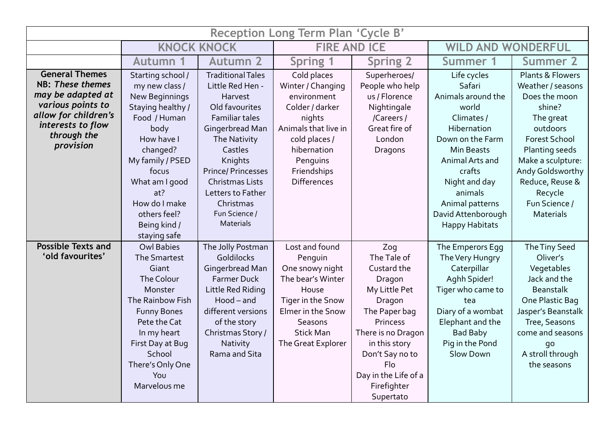| Reception Long Term Plan 'Cycle B'                                                                                                                                  |                                                                                                                                                                                                                                                     |                                                                                                                                                                                                                                                                                   |                                                                                                                                                                                       |                                                                                                                                                                                                                                 |                                                                                                                                                                                                                                                       |                                                                                                                                                                                                                                                 |  |  |  |  |  |
|---------------------------------------------------------------------------------------------------------------------------------------------------------------------|-----------------------------------------------------------------------------------------------------------------------------------------------------------------------------------------------------------------------------------------------------|-----------------------------------------------------------------------------------------------------------------------------------------------------------------------------------------------------------------------------------------------------------------------------------|---------------------------------------------------------------------------------------------------------------------------------------------------------------------------------------|---------------------------------------------------------------------------------------------------------------------------------------------------------------------------------------------------------------------------------|-------------------------------------------------------------------------------------------------------------------------------------------------------------------------------------------------------------------------------------------------------|-------------------------------------------------------------------------------------------------------------------------------------------------------------------------------------------------------------------------------------------------|--|--|--|--|--|
|                                                                                                                                                                     |                                                                                                                                                                                                                                                     | <b>KNOCK KNOCK</b>                                                                                                                                                                                                                                                                | <b>FIRE AND ICE</b>                                                                                                                                                                   |                                                                                                                                                                                                                                 | <b>WILD AND WONDERFUL</b>                                                                                                                                                                                                                             |                                                                                                                                                                                                                                                 |  |  |  |  |  |
|                                                                                                                                                                     | Autumn 1                                                                                                                                                                                                                                            | <b>Autumn 2</b>                                                                                                                                                                                                                                                                   | <b>Spring 1</b>                                                                                                                                                                       | <b>Spring 2</b>                                                                                                                                                                                                                 | Summer 1                                                                                                                                                                                                                                              | <b>Summer 2</b>                                                                                                                                                                                                                                 |  |  |  |  |  |
| <b>General Themes</b><br><b>NB: These themes</b><br>may be adapted at<br>various points to<br>allow for children's<br>interests to flow<br>through the<br>provision | Starting school /<br>my new class /<br>New Beginnings<br>Staying healthy /<br>Food / Human<br>body<br>How have I<br>changed?<br>My family / PSED<br>focus<br>What am I good<br>at?<br>How do I make<br>others feel?<br>Being kind /<br>staying safe | <b>Traditional Tales</b><br>Little Red Hen -<br>Harvest<br>Old favourites<br>Familiar tales<br>Gingerbread Man<br>The Nativity<br>Castles<br>Knights<br><b>Prince/Princesses</b><br><b>Christmas Lists</b><br>Letters to Father<br>Christmas<br>Fun Science /<br><b>Materials</b> | Cold places<br>Winter / Changing<br>environment<br>Colder / darker<br>nights<br>Animals that live in<br>cold places /<br>hibernation<br>Penguins<br>Friendships<br><b>Differences</b> | Superheroes/<br>People who help<br>us / Florence<br>Nightingale<br>/Careers/<br>Great fire of<br>London<br>Dragons                                                                                                              | Life cycles<br>Safari<br>Animals around the<br>world<br>Climates /<br>Hibernation<br>Down on the Farm<br><b>Min Beasts</b><br>Animal Arts and<br>crafts<br>Night and day<br>animals<br>Animal patterns<br>David Attenborough<br><b>Happy Habitats</b> | Plants & Flowers<br>Weather / seasons<br>Does the moon<br>shine?<br>The great<br>outdoors<br><b>Forest School</b><br>Planting seeds<br>Make a sculpture:<br>Andy Goldsworthy<br>Reduce, Reuse &<br>Recycle<br>Fun Science /<br><b>Materials</b> |  |  |  |  |  |
| <b>Possible Texts and</b><br>'old favourites'                                                                                                                       | <b>Owl Babies</b><br>The Smartest<br>Giant<br>The Colour<br>Monster<br>The Rainbow Fish<br><b>Funny Bones</b><br>Pete the Cat<br>In my heart<br>First Day at Bug<br>School<br>There's Only One<br>You<br>Marvelous me                               | The Jolly Postman<br>Goldilocks<br>Gingerbread Man<br><b>Farmer Duck</b><br>Little Red Riding<br>$Hood - and$<br>different versions<br>of the story<br>Christmas Story /<br>Nativity<br>Rama and Sita                                                                             | Lost and found<br>Penguin<br>One snowy night<br>The bear's Winter<br>House<br>Tiger in the Snow<br>Elmer in the Snow<br>Seasons<br><b>Stick Man</b><br>The Great Explorer             | Zoq<br>The Tale of<br>Custard the<br>Dragon<br>My Little Pet<br>Dragon<br>The Paper bag<br><b>Princess</b><br>There is no Dragon<br>in this story<br>Don't Say no to<br>Flo<br>Day in the Life of a<br>Firefighter<br>Supertato | The Emperors Egg<br>The Very Hungry<br>Caterpillar<br>Aghh Spider!<br>Tiger who came to<br>tea<br>Diary of a wombat<br>Elephant and the<br>Bad Baby<br>Pig in the Pond<br>Slow Down                                                                   | The Tiny Seed<br>Oliver's<br>Vegetables<br>Jack and the<br><b>Beanstalk</b><br>One Plastic Baq<br>Jasper's Beanstalk<br>Tree, Seasons<br>come and seasons<br>go<br>A stroll through<br>the seasons                                              |  |  |  |  |  |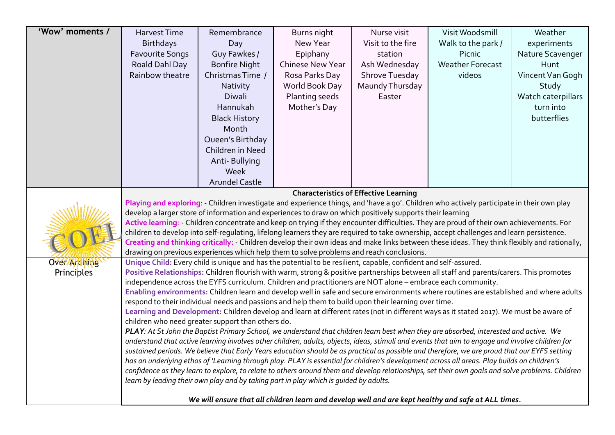| 'Wow' moments /   | Harvest Time                                                                                                                                                                                                                                                                                    | Remembrance                                       | Burns night                                                                                                     | Nurse visit       | Visit Woodsmill                                                                                                                                 | Weather            |  |  |  |  |
|-------------------|-------------------------------------------------------------------------------------------------------------------------------------------------------------------------------------------------------------------------------------------------------------------------------------------------|---------------------------------------------------|-----------------------------------------------------------------------------------------------------------------|-------------------|-------------------------------------------------------------------------------------------------------------------------------------------------|--------------------|--|--|--|--|
|                   | <b>Birthdays</b>                                                                                                                                                                                                                                                                                | Day                                               | New Year                                                                                                        | Visit to the fire | Walk to the park /                                                                                                                              | experiments        |  |  |  |  |
|                   | <b>Favourite Songs</b>                                                                                                                                                                                                                                                                          | Guy Fawkes /                                      | Epiphany                                                                                                        | station           | Picnic                                                                                                                                          | Nature Scavenger   |  |  |  |  |
|                   | Roald Dahl Day                                                                                                                                                                                                                                                                                  | <b>Bonfire Night</b>                              | Chinese New Year                                                                                                | Ash Wednesday     | <b>Weather Forecast</b>                                                                                                                         | Hunt               |  |  |  |  |
|                   | Rainbow theatre                                                                                                                                                                                                                                                                                 | Christmas Time /                                  | Rosa Parks Day                                                                                                  | Shrove Tuesday    | videos                                                                                                                                          | Vincent Van Gogh   |  |  |  |  |
|                   |                                                                                                                                                                                                                                                                                                 | Nativity                                          | World Book Day                                                                                                  | Maundy Thursday   |                                                                                                                                                 | Study              |  |  |  |  |
|                   |                                                                                                                                                                                                                                                                                                 | Diwali                                            | Planting seeds                                                                                                  | Easter            |                                                                                                                                                 | Watch caterpillars |  |  |  |  |
|                   |                                                                                                                                                                                                                                                                                                 | Hannukah                                          | Mother's Day                                                                                                    |                   |                                                                                                                                                 | turn into          |  |  |  |  |
|                   |                                                                                                                                                                                                                                                                                                 | <b>Black History</b>                              |                                                                                                                 |                   |                                                                                                                                                 | butterflies        |  |  |  |  |
|                   |                                                                                                                                                                                                                                                                                                 | Month                                             |                                                                                                                 |                   |                                                                                                                                                 |                    |  |  |  |  |
|                   |                                                                                                                                                                                                                                                                                                 | Queen's Birthday                                  |                                                                                                                 |                   |                                                                                                                                                 |                    |  |  |  |  |
|                   |                                                                                                                                                                                                                                                                                                 | Children in Need                                  |                                                                                                                 |                   |                                                                                                                                                 |                    |  |  |  |  |
|                   |                                                                                                                                                                                                                                                                                                 | Anti-Bullying                                     |                                                                                                                 |                   |                                                                                                                                                 |                    |  |  |  |  |
|                   |                                                                                                                                                                                                                                                                                                 | Week                                              |                                                                                                                 |                   |                                                                                                                                                 |                    |  |  |  |  |
|                   |                                                                                                                                                                                                                                                                                                 | <b>Arundel Castle</b>                             |                                                                                                                 |                   |                                                                                                                                                 |                    |  |  |  |  |
|                   | <b>Characteristics of Effective Learning</b>                                                                                                                                                                                                                                                    |                                                   |                                                                                                                 |                   |                                                                                                                                                 |                    |  |  |  |  |
|                   | Playing and exploring: - Children investigate and experience things, and 'have a go'. Children who actively participate in their own play<br>develop a larger store of information and experiences to draw on which positively supports their learning                                          |                                                   |                                                                                                                 |                   |                                                                                                                                                 |                    |  |  |  |  |
|                   |                                                                                                                                                                                                                                                                                                 |                                                   |                                                                                                                 |                   | Active learning: Children concentrate and keep on trying if they encounter difficulties. They are proud of their own achievements. For          |                    |  |  |  |  |
|                   |                                                                                                                                                                                                                                                                                                 |                                                   |                                                                                                                 |                   | children to develop into self-regulating, lifelong learners they are required to take ownership, accept challenges and learn persistence.       |                    |  |  |  |  |
|                   |                                                                                                                                                                                                                                                                                                 |                                                   |                                                                                                                 |                   | Creating and thinking critically: Children develop their own ideas and make links between these ideas. They think flexibly and rationally,      |                    |  |  |  |  |
|                   |                                                                                                                                                                                                                                                                                                 |                                                   | drawing on previous experiences which help them to solve problems and reach conclusions.                        |                   |                                                                                                                                                 |                    |  |  |  |  |
| Over/Arching      |                                                                                                                                                                                                                                                                                                 |                                                   | Unique Child: Every child is unique and has the potential to be resilient, capable, confident and self-assured. |                   |                                                                                                                                                 |                    |  |  |  |  |
| <b>Principles</b> |                                                                                                                                                                                                                                                                                                 |                                                   |                                                                                                                 |                   | Positive Relationships: Children flourish with warm, strong & positive partnerships between all staff and parents/carers. This promotes         |                    |  |  |  |  |
|                   |                                                                                                                                                                                                                                                                                                 |                                                   | independence across the EYFS curriculum. Children and practitioners are NOT alone - embrace each community.     |                   | Enabling environments: Children learn and develop well in safe and secure environments where routines are established and where adults          |                    |  |  |  |  |
|                   |                                                                                                                                                                                                                                                                                                 |                                                   | respond to their individual needs and passions and help them to build upon their learning over time.            |                   |                                                                                                                                                 |                    |  |  |  |  |
|                   |                                                                                                                                                                                                                                                                                                 |                                                   |                                                                                                                 |                   | Learning and Development: Children develop and learn at different rates (not in different ways as it stated 2017). We must be aware of          |                    |  |  |  |  |
|                   |                                                                                                                                                                                                                                                                                                 | children who need greater support than others do. |                                                                                                                 |                   |                                                                                                                                                 |                    |  |  |  |  |
|                   |                                                                                                                                                                                                                                                                                                 |                                                   |                                                                                                                 |                   | PLAY: At St John the Baptist Primary School, we understand that children learn best when they are absorbed, interested and active. We           |                    |  |  |  |  |
|                   |                                                                                                                                                                                                                                                                                                 |                                                   |                                                                                                                 |                   | understand that active learning involves other children, adults, objects, ideas, stimuli and events that aim to engage and involve children for |                    |  |  |  |  |
|                   | sustained periods. We believe that Early Years education should be as practical as possible and therefore, we are proud that our EYFS setting                                                                                                                                                   |                                                   |                                                                                                                 |                   |                                                                                                                                                 |                    |  |  |  |  |
|                   | has an underlying ethos of 'Learning through play. PLAY is essential for children's development across all areas. Play builds on children's<br>confidence as they learn to explore, to relate to others around them and develop relationships, set their own goals and solve problems. Children |                                                   |                                                                                                                 |                   |                                                                                                                                                 |                    |  |  |  |  |
|                   | learn by leading their own play and by taking part in play which is guided by adults.                                                                                                                                                                                                           |                                                   |                                                                                                                 |                   |                                                                                                                                                 |                    |  |  |  |  |
|                   |                                                                                                                                                                                                                                                                                                 |                                                   |                                                                                                                 |                   |                                                                                                                                                 |                    |  |  |  |  |
|                   |                                                                                                                                                                                                                                                                                                 |                                                   |                                                                                                                 |                   | We will ensure that all children learn and develop well and are kept healthy and safe at ALL times.                                             |                    |  |  |  |  |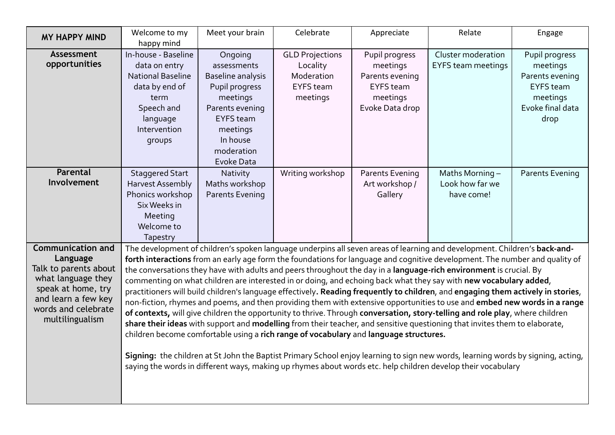| <b>MY HAPPY MIND</b>                                                                                                                                                       | Welcome to my<br>happy mind                                                                                                                    | Meet your brain                                                                                                                                                             | Celebrate                                                                             | Appreciate                                                                                       | Relate                                                                                                                                                                                                                                                                                                                                                                                                                                                                                                                                                                                                                                                                                                                                                                                                                                                                                                                                                                                                                                                                                                                                                                                                                                                                                 | Engage                                                                                                    |
|----------------------------------------------------------------------------------------------------------------------------------------------------------------------------|------------------------------------------------------------------------------------------------------------------------------------------------|-----------------------------------------------------------------------------------------------------------------------------------------------------------------------------|---------------------------------------------------------------------------------------|--------------------------------------------------------------------------------------------------|----------------------------------------------------------------------------------------------------------------------------------------------------------------------------------------------------------------------------------------------------------------------------------------------------------------------------------------------------------------------------------------------------------------------------------------------------------------------------------------------------------------------------------------------------------------------------------------------------------------------------------------------------------------------------------------------------------------------------------------------------------------------------------------------------------------------------------------------------------------------------------------------------------------------------------------------------------------------------------------------------------------------------------------------------------------------------------------------------------------------------------------------------------------------------------------------------------------------------------------------------------------------------------------|-----------------------------------------------------------------------------------------------------------|
| Assessment<br>opportunities                                                                                                                                                | In-house - Baseline<br>data on entry<br><b>National Baseline</b><br>data by end of<br>term<br>Speech and<br>language<br>Intervention<br>groups | Ongoing<br>assessments<br><b>Baseline analysis</b><br>Pupil progress<br>meetings<br>Parents evening<br><b>EYFS</b> team<br>meetings<br>In house<br>moderation<br>Evoke Data | <b>GLD Projections</b><br>Locality<br>Moderation<br><b>EYFS</b> team<br>meetings      | Pupil progress<br>meetings<br>Parents evening<br><b>EYFS</b> team<br>meetings<br>Evoke Data drop | Cluster moderation<br><b>EYFS team meetings</b>                                                                                                                                                                                                                                                                                                                                                                                                                                                                                                                                                                                                                                                                                                                                                                                                                                                                                                                                                                                                                                                                                                                                                                                                                                        | Pupil progress<br>meetings<br>Parents evening<br><b>EYFS</b> team<br>meetings<br>Evoke final data<br>drop |
| Parental<br>Involvement                                                                                                                                                    | <b>Staggered Start</b><br>Harvest Assembly<br>Phonics workshop<br>Six Weeks in<br>Meeting<br>Welcome to<br>Tapestry                            | Nativity<br>Maths workshop<br>Parents Evening                                                                                                                               | Writing workshop                                                                      | Parents Evening<br>Art workshop /<br>Gallery                                                     | Maths Morning-<br>Look how far we<br>have come!                                                                                                                                                                                                                                                                                                                                                                                                                                                                                                                                                                                                                                                                                                                                                                                                                                                                                                                                                                                                                                                                                                                                                                                                                                        | <b>Parents Evening</b>                                                                                    |
| <b>Communication and</b><br>Language<br>Talk to parents about<br>what language they<br>speak at home, try<br>and learn a few key<br>words and celebrate<br>multilingualism |                                                                                                                                                |                                                                                                                                                                             | children become comfortable using a rich range of vocabulary and language structures. |                                                                                                  | The development of children's spoken language underpins all seven areas of learning and development. Children's back-and-<br>forth interactions from an early age form the foundations for language and cognitive development. The number and quality of<br>the conversations they have with adults and peers throughout the day in a language-rich environment is crucial. By<br>commenting on what children are interested in or doing, and echoing back what they say with new vocabulary added,<br>practitioners will build children's language effectively. Reading frequently to children, and engaging them actively in stories,<br>non-fiction, rhymes and poems, and then providing them with extensive opportunities to use and embed new words in a range<br>of contexts, will give children the opportunity to thrive. Through conversation, story-telling and role play, where children<br>share their ideas with support and modelling from their teacher, and sensitive questioning that invites them to elaborate,<br>Signing: the children at St John the Baptist Primary School enjoy learning to sign new words, learning words by signing, acting,<br>saying the words in different ways, making up rhymes about words etc. help children develop their vocabulary |                                                                                                           |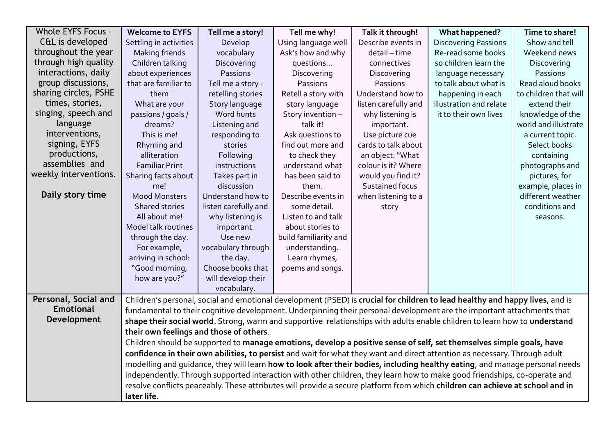| Whole EYFS Focus -    | <b>Welcome to EYFS</b>                  | Tell me a story!     | Tell me why!          | Talk it through!     | What happened?                                                                                                                | Time to share!        |
|-----------------------|-----------------------------------------|----------------------|-----------------------|----------------------|-------------------------------------------------------------------------------------------------------------------------------|-----------------------|
| C&L is developed      | Settling in activities                  | Develop              | Using language well   | Describe events in   | <b>Discovering Passions</b>                                                                                                   | Show and tell         |
| throughout the year   | Making friends                          | vocabulary           | Ask's how and why     | detail - time        | Re-read some books                                                                                                            | Weekend news          |
| through high quality  | Children talking                        | Discovering          | questions             | connectives          | so children learn the                                                                                                         | Discovering           |
| interactions, daily   | about experiences                       | Passions             | Discovering           | Discovering          | language necessary                                                                                                            | Passions              |
| group discussions,    | that are familiar to                    | Tell me a story -    | Passions              | Passions             | to talk about what is                                                                                                         | Read aloud books      |
| sharing circles, PSHE | them                                    | retelling stories    | Retell a story with   | Understand how to    | happening in each                                                                                                             | to children that will |
| times, stories,       | What are your                           | Story language       | story language        | listen carefully and | illustration and relate                                                                                                       | extend their          |
| singing, speech and   | passions / goals /                      | Word hunts           | Story invention-      | why listening is     | it to their own lives                                                                                                         | knowledge of the      |
| language              | dreams?                                 | Listening and        | talk it!              | important.           |                                                                                                                               | world and illustrate  |
| interventions,        | This is me!                             | responding to        | Ask questions to      | Use picture cue      |                                                                                                                               | a current topic.      |
| signing, EYFS         | Rhyming and                             | stories              | find out more and     | cards to talk about  |                                                                                                                               | Select books          |
| productions,          | alliteration                            | Following            | to check they         | an object: "What     |                                                                                                                               | containing            |
| assemblies and        | <b>Familiar Print</b>                   | instructions         | understand what       | colour is it? Where  |                                                                                                                               | photographs and       |
| weekly interventions. | Sharing facts about                     | Takes part in        | has been said to      | would you find it?   |                                                                                                                               | pictures, for         |
|                       | me!                                     | discussion           | them.                 | Sustained focus      |                                                                                                                               | example, places in    |
| Daily story time      | <b>Mood Monsters</b>                    | Understand how to    | Describe events in    | when listening to a  |                                                                                                                               | different weather     |
|                       | Shared stories                          | listen carefully and | some detail.          | story                |                                                                                                                               | conditions and        |
|                       | All about me!                           | why listening is     | Listen to and talk    |                      |                                                                                                                               | seasons.              |
|                       | Model talk routines                     | important.           | about stories to      |                      |                                                                                                                               |                       |
|                       | through the day.                        | Use new              | build familiarity and |                      |                                                                                                                               |                       |
|                       | For example,                            | vocabulary through   | understanding.        |                      |                                                                                                                               |                       |
|                       | arriving in school:                     | the day.             | Learn rhymes,         |                      |                                                                                                                               |                       |
|                       | "Good morning,                          | Choose books that    | poems and songs.      |                      |                                                                                                                               |                       |
|                       | how are you?"                           | will develop their   |                       |                      |                                                                                                                               |                       |
|                       |                                         | vocabulary.          |                       |                      |                                                                                                                               |                       |
| Personal, Social and  |                                         |                      |                       |                      | Children's personal, social and emotional development (PSED) is crucial for children to lead healthy and happy lives, and is  |                       |
| <b>Emotional</b>      |                                         |                      |                       |                      | fundamental to their cognitive development. Underpinning their personal development are the important attachments that        |                       |
| Development           |                                         |                      |                       |                      | shape their social world. Strong, warm and supportive relationships with adults enable children to learn how to understand    |                       |
|                       | their own feelings and those of others. |                      |                       |                      |                                                                                                                               |                       |
|                       |                                         |                      |                       |                      | Children should be supported to manage emotions, develop a positive sense of self, set themselves simple goals, have          |                       |
|                       |                                         |                      |                       |                      | confidence in their own abilities, to persist and wait for what they want and direct attention as necessary. Through adult    |                       |
|                       |                                         |                      |                       |                      | modelling and guidance, they will learn how to look after their bodies, including healthy eating, and manage personal needs   |                       |
|                       |                                         |                      |                       |                      | independently. Through supported interaction with other children, they learn how to make good friendships, co-operate and     |                       |
|                       |                                         |                      |                       |                      | resolve conflicts peaceably. These attributes will provide a secure platform from which children can achieve at school and in |                       |
|                       | later life.                             |                      |                       |                      |                                                                                                                               |                       |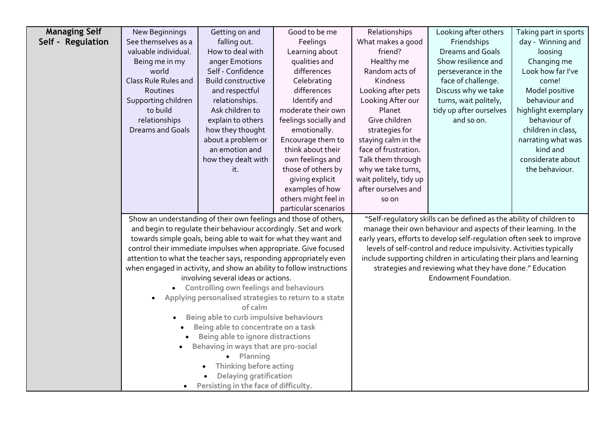| <b>Managing Self</b> | New Beginnings              | Getting on and                                                       | Good to be me         | Relationships                                                         | Looking after others                                                 | Taking part in sports      |  |
|----------------------|-----------------------------|----------------------------------------------------------------------|-----------------------|-----------------------------------------------------------------------|----------------------------------------------------------------------|----------------------------|--|
| Self - Regulation    | See themselves as a         | falling out.                                                         | Feelings              | What makes a good                                                     | Friendships                                                          | day - Winning and          |  |
|                      | valuable individual.        | How to deal with                                                     | Learning about        | friend?                                                               | <b>Dreams and Goals</b>                                              | loosing                    |  |
|                      | Being me in my              | anger Emotions                                                       | qualities and         | Healthy me                                                            | Show resilience and                                                  | Changing me                |  |
|                      | world                       | Self - Confidence                                                    | differences           | Random acts of                                                        | perseverance in the                                                  | Look how far I've<br>come! |  |
|                      | <b>Class Rule Rules and</b> | <b>Build constructive</b>                                            | Celebrating           | Kindness                                                              | face of challenge.                                                   |                            |  |
|                      | Routines                    | and respectful                                                       | differences           | Looking after pets                                                    | Discuss why we take                                                  | Model positive             |  |
|                      | Supporting children         | relationships.                                                       | Identify and          | Looking After our                                                     | turns, wait politely,                                                | behaviour and              |  |
|                      | to build                    | Ask children to                                                      | moderate their own    | Planet                                                                | tidy up after ourselves                                              | highlight exemplary        |  |
|                      | relationships               | explain to others                                                    | feelings socially and | Give children                                                         | and so on.                                                           | behaviour of               |  |
|                      | Dreams and Goals            | how they thought                                                     | emotionally.          | strategies for                                                        |                                                                      | children in class,         |  |
|                      |                             | about a problem or                                                   | Encourage them to     | staying calm in the                                                   |                                                                      | narrating what was         |  |
|                      |                             | an emotion and                                                       | think about their     | face of frustration.                                                  |                                                                      | kind and                   |  |
|                      |                             | how they dealt with                                                  | own feelings and      | Talk them through                                                     |                                                                      | considerate about          |  |
|                      |                             | it.                                                                  | those of others by    | why we take turns,                                                    |                                                                      | the behaviour.             |  |
|                      |                             |                                                                      | giving explicit       | wait politely, tidy up                                                |                                                                      |                            |  |
|                      |                             |                                                                      | examples of how       | after ourselves and                                                   |                                                                      |                            |  |
|                      |                             |                                                                      | others might feel in  | so on                                                                 |                                                                      |                            |  |
|                      |                             |                                                                      | particular scenarios  |                                                                       |                                                                      |                            |  |
|                      |                             | Show an understanding of their own feelings and those of others,     |                       |                                                                       | "Self-regulatory skills can be defined as the ability of children to |                            |  |
|                      |                             | and begin to regulate their behaviour accordingly. Set and work      |                       | manage their own behaviour and aspects of their learning. In the      |                                                                      |                            |  |
|                      |                             | towards simple goals, being able to wait for what they want and      |                       | early years, efforts to develop self-regulation often seek to improve |                                                                      |                            |  |
|                      |                             | control their immediate impulses when appropriate. Give focused      |                       |                                                                       | levels of self-control and reduce impulsivity. Activities typically  |                            |  |
|                      |                             | attention to what the teacher says, responding appropriately even    |                       |                                                                       | include supporting children in articulating their plans and learning |                            |  |
|                      |                             | when engaged in activity, and show an ability to follow instructions |                       |                                                                       | strategies and reviewing what they have done." Education             |                            |  |
|                      |                             | involving several ideas or actions.                                  |                       |                                                                       | Endowment Foundation.                                                |                            |  |
|                      |                             | <b>Controlling own feelings and behaviours</b>                       |                       |                                                                       |                                                                      |                            |  |
|                      |                             | Applying personalised strategies to return to a state                |                       |                                                                       |                                                                      |                            |  |
|                      |                             | of calm                                                              |                       |                                                                       |                                                                      |                            |  |
|                      |                             | Being able to curb impulsive behaviours                              |                       |                                                                       |                                                                      |                            |  |
|                      |                             | Being able to concentrate on a task                                  |                       |                                                                       |                                                                      |                            |  |
|                      |                             | Being able to ignore distractions                                    |                       |                                                                       |                                                                      |                            |  |
|                      |                             | Behaving in ways that are pro-social                                 |                       |                                                                       |                                                                      |                            |  |
|                      |                             | Planning                                                             |                       |                                                                       |                                                                      |                            |  |
|                      |                             | Thinking before acting                                               |                       |                                                                       |                                                                      |                            |  |
|                      |                             | Delaying gratification                                               |                       |                                                                       |                                                                      |                            |  |
|                      |                             | Persisting in the face of difficulty.                                |                       |                                                                       |                                                                      |                            |  |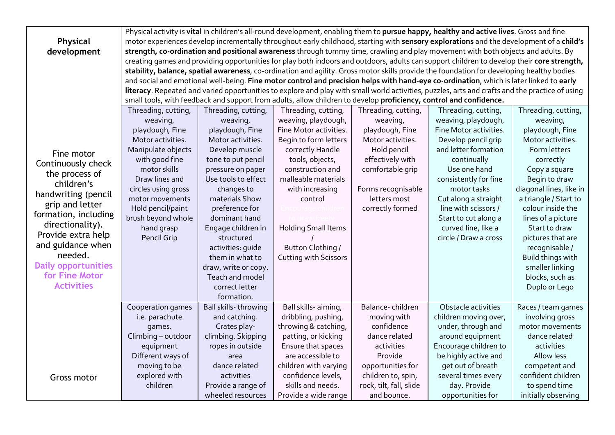|                            |                                                                                                                                                                                                                                                                                                                                                 |                                                                                   |                                                                                                                    | Physical activity is vital in children's all-round development, enabling them to pursue happy, healthy and active lives. Gross and fine |                                                                                                                                                 |                     |  |  |  |  |  |  |  |  |
|----------------------------|-------------------------------------------------------------------------------------------------------------------------------------------------------------------------------------------------------------------------------------------------------------------------------------------------------------------------------------------------|-----------------------------------------------------------------------------------|--------------------------------------------------------------------------------------------------------------------|-----------------------------------------------------------------------------------------------------------------------------------------|-------------------------------------------------------------------------------------------------------------------------------------------------|---------------------|--|--|--|--|--|--|--|--|
| Physical                   |                                                                                                                                                                                                                                                                                                                                                 |                                                                                   |                                                                                                                    |                                                                                                                                         | motor experiences develop incrementally throughout early childhood, starting with sensory explorations and the development of a child's         |                     |  |  |  |  |  |  |  |  |
| development                |                                                                                                                                                                                                                                                                                                                                                 |                                                                                   |                                                                                                                    |                                                                                                                                         | strength, co-ordination and positional awareness through tummy time, crawling and play movement with both objects and adults. By                |                     |  |  |  |  |  |  |  |  |
|                            |                                                                                                                                                                                                                                                                                                                                                 |                                                                                   |                                                                                                                    |                                                                                                                                         | creating games and providing opportunities for play both indoors and outdoors, adults can support children to develop their core strength,      |                     |  |  |  |  |  |  |  |  |
|                            |                                                                                                                                                                                                                                                                                                                                                 |                                                                                   |                                                                                                                    |                                                                                                                                         | stability, balance, spatial awareness, co-ordination and agility. Gross motor skills provide the foundation for developing healthy bodies       |                     |  |  |  |  |  |  |  |  |
|                            |                                                                                                                                                                                                                                                                                                                                                 |                                                                                   |                                                                                                                    |                                                                                                                                         | and social and emotional well-being. Fine motor control and precision helps with hand-eye co-ordination, which is later linked to early         |                     |  |  |  |  |  |  |  |  |
|                            |                                                                                                                                                                                                                                                                                                                                                 |                                                                                   |                                                                                                                    |                                                                                                                                         | literacy. Repeated and varied opportunities to explore and play with small world activities, puzzles, arts and crafts and the practice of using |                     |  |  |  |  |  |  |  |  |
|                            |                                                                                                                                                                                                                                                                                                                                                 |                                                                                   | small tools, with feedback and support from adults, allow children to develop proficiency, control and confidence. |                                                                                                                                         |                                                                                                                                                 |                     |  |  |  |  |  |  |  |  |
|                            | Threading, cutting,                                                                                                                                                                                                                                                                                                                             | Threading, cutting,                                                               | Threading, cutting,                                                                                                | Threading, cutting,                                                                                                                     | Threading, cutting,                                                                                                                             | Threading, cutting, |  |  |  |  |  |  |  |  |
|                            | weaving,                                                                                                                                                                                                                                                                                                                                        | weaving,                                                                          | weaving, playdough,                                                                                                | weaving,                                                                                                                                | weaving, playdough,                                                                                                                             | weaving,            |  |  |  |  |  |  |  |  |
|                            | playdough, Fine                                                                                                                                                                                                                                                                                                                                 | playdough, Fine                                                                   | Fine Motor activities.                                                                                             | playdough, Fine                                                                                                                         | Fine Motor activities.                                                                                                                          | playdough, Fine     |  |  |  |  |  |  |  |  |
|                            | Motor activities.                                                                                                                                                                                                                                                                                                                               | Motor activities.                                                                 | Begin to form letters                                                                                              | Motor activities.                                                                                                                       | Develop pencil grip                                                                                                                             | Motor activities.   |  |  |  |  |  |  |  |  |
| Fine motor                 | Manipulate objects                                                                                                                                                                                                                                                                                                                              | Develop muscle                                                                    | correctly Handle                                                                                                   | Hold pencil                                                                                                                             | and letter formation                                                                                                                            | Form letters        |  |  |  |  |  |  |  |  |
| Continuously check         | with good fine                                                                                                                                                                                                                                                                                                                                  | tone to put pencil                                                                | tools, objects,                                                                                                    | effectively with                                                                                                                        | continually                                                                                                                                     | correctly           |  |  |  |  |  |  |  |  |
| the process of             | motor skills                                                                                                                                                                                                                                                                                                                                    | pressure on paper                                                                 | construction and                                                                                                   | comfortable grip                                                                                                                        | Use one hand                                                                                                                                    | Copy a square       |  |  |  |  |  |  |  |  |
| children's                 | Draw lines and<br>Use tools to effect<br>malleable materials<br>Begin to draw<br>consistently for fine<br>diagonal lines, like in<br>circles using gross<br>changes to<br>with increasing<br>Forms recognisable<br>motor tasks<br>motor movements<br>materials Show<br>letters most<br>Cut along a straight<br>a triangle / Start to<br>control |                                                                                   |                                                                                                                    |                                                                                                                                         |                                                                                                                                                 |                     |  |  |  |  |  |  |  |  |
|                            |                                                                                                                                                                                                                                                                                                                                                 |                                                                                   |                                                                                                                    |                                                                                                                                         |                                                                                                                                                 |                     |  |  |  |  |  |  |  |  |
| handwriting (pencil        |                                                                                                                                                                                                                                                                                                                                                 |                                                                                   |                                                                                                                    |                                                                                                                                         |                                                                                                                                                 |                     |  |  |  |  |  |  |  |  |
| grip and letter            | Hold pencil/paint                                                                                                                                                                                                                                                                                                                               | preference for<br>correctly formed<br>line with scissors /<br>colour inside the   |                                                                                                                    |                                                                                                                                         |                                                                                                                                                 |                     |  |  |  |  |  |  |  |  |
| formation, including       |                                                                                                                                                                                                                                                                                                                                                 | brush beyond whole<br>dominant hand<br>Start to cut along a<br>lines of a picture |                                                                                                                    |                                                                                                                                         |                                                                                                                                                 |                     |  |  |  |  |  |  |  |  |
| directionality).           | hand grasp                                                                                                                                                                                                                                                                                                                                      | Engage children in                                                                | <b>Holding Small Items</b>                                                                                         |                                                                                                                                         | curved line, like a                                                                                                                             | Start to draw       |  |  |  |  |  |  |  |  |
| Provide extra help         | Pencil Grip                                                                                                                                                                                                                                                                                                                                     | structured                                                                        |                                                                                                                    |                                                                                                                                         | circle / Draw a cross                                                                                                                           | pictures that are   |  |  |  |  |  |  |  |  |
| and guidance when          |                                                                                                                                                                                                                                                                                                                                                 | activities: guide                                                                 | Button Clothing /                                                                                                  |                                                                                                                                         |                                                                                                                                                 | recognisable /      |  |  |  |  |  |  |  |  |
| needed.                    |                                                                                                                                                                                                                                                                                                                                                 | them in what to                                                                   | <b>Cutting with Scissors</b>                                                                                       |                                                                                                                                         |                                                                                                                                                 | Build things with   |  |  |  |  |  |  |  |  |
| <b>Daily opportunities</b> |                                                                                                                                                                                                                                                                                                                                                 | draw, write or copy.                                                              |                                                                                                                    |                                                                                                                                         |                                                                                                                                                 | smaller linking     |  |  |  |  |  |  |  |  |
| for Fine Motor             |                                                                                                                                                                                                                                                                                                                                                 | Teach and model                                                                   |                                                                                                                    |                                                                                                                                         |                                                                                                                                                 | blocks, such as     |  |  |  |  |  |  |  |  |
| <b>Activities</b>          |                                                                                                                                                                                                                                                                                                                                                 | correct letter                                                                    |                                                                                                                    |                                                                                                                                         |                                                                                                                                                 | Duplo or Lego       |  |  |  |  |  |  |  |  |
|                            |                                                                                                                                                                                                                                                                                                                                                 | formation.                                                                        |                                                                                                                    |                                                                                                                                         |                                                                                                                                                 |                     |  |  |  |  |  |  |  |  |
|                            | Cooperation games                                                                                                                                                                                                                                                                                                                               | Ball skills-throwing                                                              | Ball skills-aiming,                                                                                                | Balance-children                                                                                                                        | Obstacle activities                                                                                                                             | Races / team games  |  |  |  |  |  |  |  |  |
|                            | i.e. parachute                                                                                                                                                                                                                                                                                                                                  | and catching.                                                                     | dribbling, pushing,                                                                                                | moving with                                                                                                                             | children moving over,                                                                                                                           | involving gross     |  |  |  |  |  |  |  |  |
|                            | games.                                                                                                                                                                                                                                                                                                                                          | Crates play-                                                                      | throwing & catching,                                                                                               | confidence                                                                                                                              | under, through and                                                                                                                              | motor movements     |  |  |  |  |  |  |  |  |
|                            | Climbing - outdoor                                                                                                                                                                                                                                                                                                                              | climbing. Skipping                                                                | patting, or kicking                                                                                                | dance related                                                                                                                           | around equipment                                                                                                                                | dance related       |  |  |  |  |  |  |  |  |
|                            | equipment                                                                                                                                                                                                                                                                                                                                       | ropes in outside                                                                  | Ensure that spaces                                                                                                 | activities                                                                                                                              | Encourage children to                                                                                                                           | activities          |  |  |  |  |  |  |  |  |
|                            | Different ways of                                                                                                                                                                                                                                                                                                                               | area                                                                              | are accessible to                                                                                                  | Provide                                                                                                                                 | be highly active and                                                                                                                            | Allow less          |  |  |  |  |  |  |  |  |
|                            | moving to be                                                                                                                                                                                                                                                                                                                                    | dance related                                                                     | children with varying                                                                                              | opportunities for                                                                                                                       | get out of breath                                                                                                                               | competent and       |  |  |  |  |  |  |  |  |
| Gross motor                | explored with                                                                                                                                                                                                                                                                                                                                   | activities                                                                        | confidence levels,                                                                                                 | children to, spin,                                                                                                                      | several times every                                                                                                                             | confident children  |  |  |  |  |  |  |  |  |
|                            | children                                                                                                                                                                                                                                                                                                                                        | Provide a range of                                                                | skills and needs.                                                                                                  | rock, tilt, fall, slide                                                                                                                 | day. Provide                                                                                                                                    | to spend time       |  |  |  |  |  |  |  |  |
|                            |                                                                                                                                                                                                                                                                                                                                                 | wheeled resources                                                                 | Provide a wide range                                                                                               | and bounce.                                                                                                                             | opportunities for                                                                                                                               | initially observing |  |  |  |  |  |  |  |  |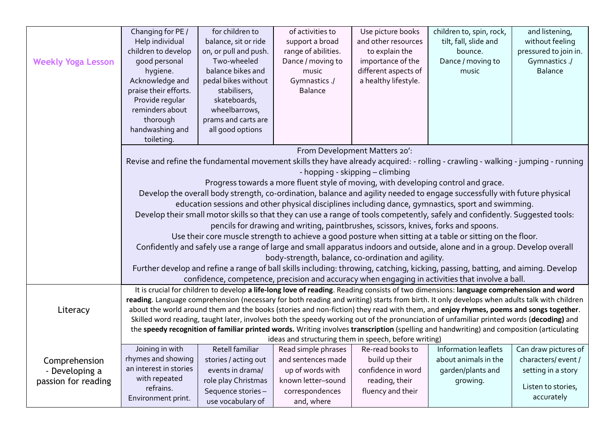| <b>Weekly Yoga Lesson</b>       | Changing for PE /<br>Help individual<br>children to develop<br>good personal<br>hygiene.<br>Acknowledge and<br>praise their efforts.<br>Provide regular<br>reminders about<br>thorough<br>handwashing and<br>toileting.                                                                                                                                                                                                                              | for children to<br>balance, sit or ride<br>on, or pull and push.<br>Two-wheeled<br>balance bikes and<br>pedal bikes without<br>stabilisers,<br>skateboards,<br>wheelbarrows,<br>prams and carts are<br>all good options | of activities to<br>support a broad<br>range of abilities.<br>Dance / moving to<br>music<br>Gymnastics ./<br><b>Balance</b> | Use picture books<br>and other resources<br>to explain the<br>importance of the<br>different aspects of<br>a healthy lifestyle. | children to, spin, rock,<br>tilt, fall, slide and<br>bounce.<br>Dance / moving to<br>music                                                                                                                                                                                                                                                                                                                                                                                                                                                                                                                                                                                                                             | and listening,<br>without feeling<br>pressured to join in.<br>Gymnastics./<br><b>Balance</b> |  |  |  |
|---------------------------------|------------------------------------------------------------------------------------------------------------------------------------------------------------------------------------------------------------------------------------------------------------------------------------------------------------------------------------------------------------------------------------------------------------------------------------------------------|-------------------------------------------------------------------------------------------------------------------------------------------------------------------------------------------------------------------------|-----------------------------------------------------------------------------------------------------------------------------|---------------------------------------------------------------------------------------------------------------------------------|------------------------------------------------------------------------------------------------------------------------------------------------------------------------------------------------------------------------------------------------------------------------------------------------------------------------------------------------------------------------------------------------------------------------------------------------------------------------------------------------------------------------------------------------------------------------------------------------------------------------------------------------------------------------------------------------------------------------|----------------------------------------------------------------------------------------------|--|--|--|
|                                 | From Development Matters 20':<br>Revise and refine the fundamental movement skills they have already acquired: - rolling - crawling - walking - jumping - running<br>- hopping - skipping - climbing<br>Progress towards a more fluent style of moving, with developing control and grace.                                                                                                                                                           |                                                                                                                                                                                                                         |                                                                                                                             |                                                                                                                                 |                                                                                                                                                                                                                                                                                                                                                                                                                                                                                                                                                                                                                                                                                                                        |                                                                                              |  |  |  |
|                                 | Develop the overall body strength, co-ordination, balance and agility needed to engage successfully with future physical<br>education sessions and other physical disciplines including dance, gymnastics, sport and swimming.<br>Develop their small motor skills so that they can use a range of tools competently, safely and confidently. Suggested tools:<br>pencils for drawing and writing, paintbrushes, scissors, knives, forks and spoons. |                                                                                                                                                                                                                         |                                                                                                                             |                                                                                                                                 |                                                                                                                                                                                                                                                                                                                                                                                                                                                                                                                                                                                                                                                                                                                        |                                                                                              |  |  |  |
|                                 |                                                                                                                                                                                                                                                                                                                                                                                                                                                      |                                                                                                                                                                                                                         | body-strength, balance, co-ordination and agility.                                                                          |                                                                                                                                 | Use their core muscle strength to achieve a good posture when sitting at a table or sitting on the floor.<br>Confidently and safely use a range of large and small apparatus indoors and outside, alone and in a group. Develop overall                                                                                                                                                                                                                                                                                                                                                                                                                                                                                |                                                                                              |  |  |  |
|                                 |                                                                                                                                                                                                                                                                                                                                                                                                                                                      |                                                                                                                                                                                                                         |                                                                                                                             |                                                                                                                                 | Further develop and refine a range of ball skills including: throwing, catching, kicking, passing, batting, and aiming. Develop<br>confidence, competence, precision and accuracy when engaging in activities that involve a ball.                                                                                                                                                                                                                                                                                                                                                                                                                                                                                     |                                                                                              |  |  |  |
| Literacy                        |                                                                                                                                                                                                                                                                                                                                                                                                                                                      |                                                                                                                                                                                                                         |                                                                                                                             |                                                                                                                                 | It is crucial for children to develop a life-long love of reading. Reading consists of two dimensions: language comprehension and word<br>reading. Language comprehension (necessary for both reading and writing) starts from birth. It only develops when adults talk with children<br>about the world around them and the books (stories and non-fiction) they read with them, and enjoy rhymes, poems and songs together.<br>Skilled word reading, taught later, involves both the speedy working out of the pronunciation of unfamiliar printed words (decoding) and<br>the speedy recognition of familiar printed words. Writing involves transcription (spelling and handwriting) and composition (articulating |                                                                                              |  |  |  |
|                                 | Joining in with                                                                                                                                                                                                                                                                                                                                                                                                                                      | Retell familiar                                                                                                                                                                                                         | ideas and structuring them in speech, before writing)<br>Read simple phrases                                                | Re-read books to                                                                                                                | <b>Information leaflets</b>                                                                                                                                                                                                                                                                                                                                                                                                                                                                                                                                                                                                                                                                                            | Can draw pictures of                                                                         |  |  |  |
| Comprehension<br>- Developing a | rhymes and showing<br>an interest in stories                                                                                                                                                                                                                                                                                                                                                                                                         | stories / acting out<br>events in drama/                                                                                                                                                                                | and sentences made<br>up of words with                                                                                      | build up their<br>confidence in word                                                                                            | about animals in the<br>garden/plants and                                                                                                                                                                                                                                                                                                                                                                                                                                                                                                                                                                                                                                                                              | characters/event/<br>setting in a story                                                      |  |  |  |
| passion for reading             | with repeated<br>refrains.<br>Environment print.                                                                                                                                                                                                                                                                                                                                                                                                     | role play Christmas<br>Sequence stories-<br>use vocabulary of                                                                                                                                                           | known letter-sound<br>correspondences<br>and, where                                                                         | reading, their<br>fluency and their                                                                                             | growing.                                                                                                                                                                                                                                                                                                                                                                                                                                                                                                                                                                                                                                                                                                               | Listen to stories,<br>accurately                                                             |  |  |  |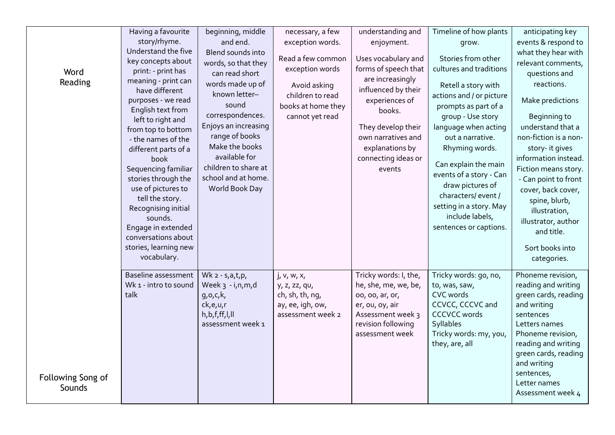| Word<br>Reading             | Having a favourite<br>story/rhyme.<br>Understand the five<br>key concepts about<br>print: - print has<br>meaning - print can<br>have different<br>purposes - we read<br>English text from<br>left to right and<br>from top to bottom<br>- the names of the<br>different parts of a<br>book<br>Sequencing familiar<br>stories through the<br>use of pictures to<br>tell the story.<br>Recognising initial<br>sounds.<br>Engage in extended<br>conversations about<br>stories, learning new<br>vocabulary. | beginning, middle<br>and end.<br>Blend sounds into<br>words, so that they<br>can read short<br>words made up of<br>known letter-<br>sound<br>correspondences.<br>Enjoys an increasing<br>range of books<br>Make the books<br>available for<br>children to share at<br>school and at home.<br>World Book Day | necessary, a few<br>exception words.<br>Read a few common<br>exception words<br>Avoid asking<br>children to read<br>books at home they<br>cannot yet read | understanding and<br>enjoyment.<br>Uses vocabulary and<br>forms of speech that<br>are increasingly<br>influenced by their<br>experiences of<br>books.<br>They develop their<br>own narratives and<br>explanations by<br>connecting ideas or<br>events | Timeline of how plants<br>grow.<br>Stories from other<br>cultures and traditions<br>Retell a story with<br>actions and / or picture<br>prompts as part of a<br>group - Use story<br>language when acting<br>out a narrative.<br>Rhyming words.<br>Can explain the main<br>events of a story - Can<br>draw pictures of<br>characters/event/<br>setting in a story. May<br>include labels,<br>sentences or captions. | anticipating key<br>events & respond to<br>what they hear with<br>relevant comments,<br>questions and<br>reactions.<br>Make predictions<br>Beginning to<br>understand that a<br>non-fiction is a non-<br>story- it gives<br>information instead.<br>Fiction means story.<br>- Can point to front<br>cover, back cover,<br>spine, blurb,<br>illustration,<br>illustrator, author<br>and title.<br>Sort books into<br>categories. |
|-----------------------------|----------------------------------------------------------------------------------------------------------------------------------------------------------------------------------------------------------------------------------------------------------------------------------------------------------------------------------------------------------------------------------------------------------------------------------------------------------------------------------------------------------|-------------------------------------------------------------------------------------------------------------------------------------------------------------------------------------------------------------------------------------------------------------------------------------------------------------|-----------------------------------------------------------------------------------------------------------------------------------------------------------|-------------------------------------------------------------------------------------------------------------------------------------------------------------------------------------------------------------------------------------------------------|--------------------------------------------------------------------------------------------------------------------------------------------------------------------------------------------------------------------------------------------------------------------------------------------------------------------------------------------------------------------------------------------------------------------|---------------------------------------------------------------------------------------------------------------------------------------------------------------------------------------------------------------------------------------------------------------------------------------------------------------------------------------------------------------------------------------------------------------------------------|
| Following Song of<br>Sounds | <b>Baseline assessment</b><br>Wk 1 - intro to sound<br>talk                                                                                                                                                                                                                                                                                                                                                                                                                                              | Wk $2 - s$ , $a$ , $t$ , $p$ ,<br>Week $3 - i, n, m, d$<br>g, o, c, k<br>ck,e,u,r<br>h, b, f, ff, l, ll<br>assessment week 1                                                                                                                                                                                | j, v, w, x,<br>y, z, zz, qu,<br>ch, sh, th, ng,<br>ay, ee, igh, ow,<br>assessment week 2                                                                  | Tricky words: I, the,<br>he, she, me, we, be,<br>00, 00, ar, or,<br>er, ou, oy, air<br>Assessment week 3<br>revision following<br>assessment week                                                                                                     | Tricky words: go, no,<br>to, was, saw,<br>CVC words<br>CCVCC, CCCVC and<br><b>CCCVCC words</b><br><b>Syllables</b><br>Tricky words: my, you,<br>they, are, all                                                                                                                                                                                                                                                     | Phoneme revision,<br>reading and writing<br>green cards, reading<br>and writing<br>sentences<br>Letters names<br>Phoneme revision,<br>reading and writing<br>green cards, reading<br>and writing<br>sentences,<br>Letter names<br>Assessment week 4                                                                                                                                                                             |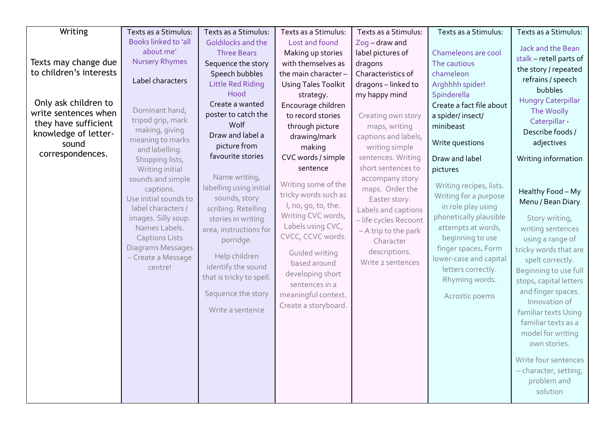| Writing                 | Texts as a Stimulus:                 | Texts as a Stimulus:             | Texts as a Stimulus:       | Texts as a Stimulus:  | Texts as a Stimulus:     | Texts as a Stimulus:      |
|-------------------------|--------------------------------------|----------------------------------|----------------------------|-----------------------|--------------------------|---------------------------|
|                         | Books linked to 'all                 | Goldilocks and the               | Lost and found             | $Zog - draw$ and      |                          |                           |
|                         | about me'                            | <b>Three Bears</b>               | Making up stories          | label pictures of     | Chameleons are cool      | Jack and the Bean         |
| Texts may change due    | <b>Nursery Rhymes</b>                | Sequence the story               | with themselves as         | dragons               | The cautious             | stalk - retell parts of   |
| to children's interests |                                      | Speech bubbles                   | the main character-        | Characteristics of    | chameleon                | the story / repeated      |
|                         | Label characters                     |                                  |                            |                       |                          | refrains / speech         |
|                         |                                      | <b>Little Red Riding</b><br>Hood | <b>Using Tales Toolkit</b> | dragons-linked to     | Arghhhh spider!          | bubbles                   |
| Only ask children to    |                                      | Create a wanted                  | strategy.                  | my happy mind         | Spinderella              | <b>Hungry Caterpillar</b> |
| write sentences when    | Dominant hand,                       | poster to catch the              | Encourage children         |                       | Create a fact file about | The Woolly                |
| they have sufficient    | tripod grip, mark                    | Wolf                             | to record stories          | Creating own story    | a spider/insect/         | Caterpillar-              |
| knowledge of letter-    | making, giving                       |                                  | through picture            | maps, writing         | minibeast                | Describe foods /          |
| sound                   | meaning to marks                     | Draw and label a                 | drawing/mark               | captions and labels,  | Write questions          | adjectives                |
| correspondences.        | and labelling.                       | picture from                     | making                     | writing simple        |                          |                           |
|                         | Shopping lists,                      | favourite stories                | CVC words / simple         | sentences. Writing    | Draw and label           | Writing information       |
|                         | Writing initial                      |                                  | sentence                   | short sentences to    | pictures                 |                           |
|                         | sounds and simple                    | Name writing,                    | Writing some of the        | accompany story       | Writing recipes, lists.  |                           |
|                         | captions.                            | labelling using initial          | tricky words such as       | maps. Order the       | Writing for a purpose    | Healthy Food - My         |
|                         | Use initial sounds to                | sounds, story                    | I, no, go, to, the.        | Easter story.         | in role play using       | Menu / Bean Diary         |
|                         | label characters /                   | scribing. Retelling              | Writing CVC words,         | Labels and captions   | phonetically plausible   |                           |
|                         | images. Silly soup.<br>Names Labels. | stories in writing               | Labels using CVC,          | - life cycles Recount | attempts at words,       | Story writing,            |
|                         | <b>Captions Lists</b>                | area, instructions for           | CVCC, CCVC words.          | - A trip to the park  |                          | writing sentences         |
|                         | Diagrams Messages                    | porridge.                        |                            | Character             | beginning to use         | using a range of          |
|                         | - Create a Message                   | Help children                    | Guided writing             | descriptions.         | finger spaces. Form      | tricky words that are     |
|                         | centre!                              | identify the sound               | based around               | Write 2 sentences     | lower-case and capital   | spelt correctly.          |
|                         |                                      | that is tricky to spell.         | developing short           |                       | letters correctly.       | Beginning to use full     |
|                         |                                      |                                  | sentences in a             |                       | Rhyming words.           | stops, capital letters    |
|                         |                                      | Sequence the story               | meaningful context.        |                       | Acrostic poems           | and finger spaces.        |
|                         |                                      |                                  | Create a storyboard.       |                       |                          | Innovation of             |
|                         |                                      | Write a sentence                 |                            |                       |                          | familiar texts Using      |
|                         |                                      |                                  |                            |                       |                          | familiar texts as a       |
|                         |                                      |                                  |                            |                       |                          | model for writing         |
|                         |                                      |                                  |                            |                       |                          | own stories.              |
|                         |                                      |                                  |                            |                       |                          |                           |
|                         |                                      |                                  |                            |                       |                          | Write four sentences      |
|                         |                                      |                                  |                            |                       |                          | - character, setting,     |
|                         |                                      |                                  |                            |                       |                          | problem and               |
|                         |                                      |                                  |                            |                       |                          | solution                  |
|                         |                                      |                                  |                            |                       |                          |                           |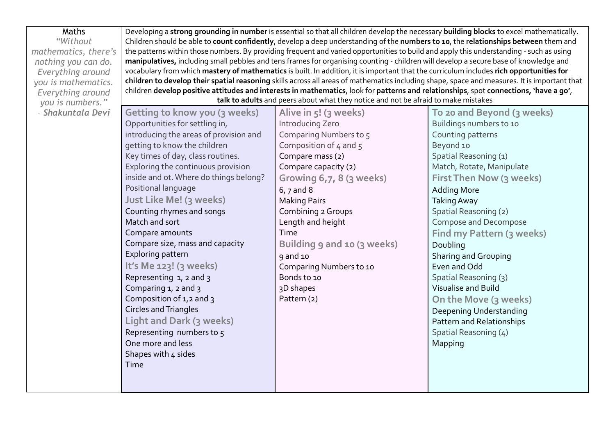| Maths                | Developing a strong grounding in number is essential so that all children develop the necessary building blocks to excel mathematically.<br>Children should be able to count confidently, develop a deep understanding of the numbers to 10, the relationships between them and       |                                                                                                                                         |                                  |  |  |  |  |  |  |  |  |
|----------------------|---------------------------------------------------------------------------------------------------------------------------------------------------------------------------------------------------------------------------------------------------------------------------------------|-----------------------------------------------------------------------------------------------------------------------------------------|----------------------------------|--|--|--|--|--|--|--|--|
| "Without             |                                                                                                                                                                                                                                                                                       |                                                                                                                                         |                                  |  |  |  |  |  |  |  |  |
| mathematics, there's |                                                                                                                                                                                                                                                                                       | the patterns within those numbers. By providing frequent and varied opportunities to build and apply this understanding - such as using |                                  |  |  |  |  |  |  |  |  |
| nothing you can do.  | manipulatives, including small pebbles and tens frames for organising counting - children will develop a secure base of knowledge and                                                                                                                                                 |                                                                                                                                         |                                  |  |  |  |  |  |  |  |  |
| Everything around    | vocabulary from which mastery of mathematics is built. In addition, it is important that the curriculum includes rich opportunities for                                                                                                                                               |                                                                                                                                         |                                  |  |  |  |  |  |  |  |  |
| you is mathematics.  | children to develop their spatial reasoning skills across all areas of mathematics including shape, space and measures. It is important that<br>children develop positive attitudes and interests in mathematics, look for patterns and relationships, spot connections, 'have a go', |                                                                                                                                         |                                  |  |  |  |  |  |  |  |  |
| Everything around    |                                                                                                                                                                                                                                                                                       |                                                                                                                                         |                                  |  |  |  |  |  |  |  |  |
| you is numbers."     | talk to adults and peers about what they notice and not be afraid to make mistakes                                                                                                                                                                                                    |                                                                                                                                         |                                  |  |  |  |  |  |  |  |  |
| - Shakuntala Devi    | Getting to know you (3 weeks)                                                                                                                                                                                                                                                         | Alive in 5! (3 weeks)                                                                                                                   | To 20 and Beyond (3 weeks)       |  |  |  |  |  |  |  |  |
|                      | Opportunities for settling in,                                                                                                                                                                                                                                                        | Introducing Zero                                                                                                                        | Buildings numbers to 10          |  |  |  |  |  |  |  |  |
|                      | introducing the areas of provision and                                                                                                                                                                                                                                                | Comparing Numbers to 5                                                                                                                  | Counting patterns                |  |  |  |  |  |  |  |  |
|                      | getting to know the children                                                                                                                                                                                                                                                          | Composition of $4$ and $5$                                                                                                              | Beyond 10                        |  |  |  |  |  |  |  |  |
|                      | Key times of day, class routines.                                                                                                                                                                                                                                                     | Compare mass (2)                                                                                                                        | Spatial Reasoning (1)            |  |  |  |  |  |  |  |  |
|                      | Exploring the continuous provision                                                                                                                                                                                                                                                    | Compare capacity (2)                                                                                                                    | Match, Rotate, Manipulate        |  |  |  |  |  |  |  |  |
|                      | inside and ot. Where do things belong?                                                                                                                                                                                                                                                | Growing 6,7, 8 (3 weeks)                                                                                                                | <b>First Then Now (3 weeks)</b>  |  |  |  |  |  |  |  |  |
|                      | Positional language                                                                                                                                                                                                                                                                   | $6, 7$ and 8                                                                                                                            | <b>Adding More</b>               |  |  |  |  |  |  |  |  |
|                      | Just Like Me! (3 weeks)                                                                                                                                                                                                                                                               | <b>Making Pairs</b>                                                                                                                     | <b>Taking Away</b>               |  |  |  |  |  |  |  |  |
|                      | Counting rhymes and songs<br>Combining 2 Groups<br>Spatial Reasoning (2)                                                                                                                                                                                                              |                                                                                                                                         |                                  |  |  |  |  |  |  |  |  |
|                      | Match and sort                                                                                                                                                                                                                                                                        | Length and height                                                                                                                       | <b>Compose and Decompose</b>     |  |  |  |  |  |  |  |  |
|                      | Compare amounts                                                                                                                                                                                                                                                                       | Time                                                                                                                                    | Find my Pattern (3 weeks)        |  |  |  |  |  |  |  |  |
|                      | Compare size, mass and capacity                                                                                                                                                                                                                                                       | Building 9 and 10 (3 weeks)                                                                                                             | Doubling                         |  |  |  |  |  |  |  |  |
|                      | Exploring pattern                                                                                                                                                                                                                                                                     | 9 and 10                                                                                                                                | <b>Sharing and Grouping</b>      |  |  |  |  |  |  |  |  |
|                      | It's Me 123! (3 weeks)                                                                                                                                                                                                                                                                | Comparing Numbers to 10                                                                                                                 | Even and Odd                     |  |  |  |  |  |  |  |  |
|                      | Representing 1, 2 and 3                                                                                                                                                                                                                                                               | Bonds to 10                                                                                                                             | Spatial Reasoning (3)            |  |  |  |  |  |  |  |  |
|                      | Comparing 1, 2 and 3                                                                                                                                                                                                                                                                  | 3D shapes                                                                                                                               | <b>Visualise and Build</b>       |  |  |  |  |  |  |  |  |
|                      | Composition of 1,2 and 3                                                                                                                                                                                                                                                              | Pattern (2)                                                                                                                             | On the Move (3 weeks)            |  |  |  |  |  |  |  |  |
|                      | <b>Circles and Triangles</b>                                                                                                                                                                                                                                                          |                                                                                                                                         | Deepening Understanding          |  |  |  |  |  |  |  |  |
|                      | Light and Dark (3 weeks)                                                                                                                                                                                                                                                              |                                                                                                                                         | <b>Pattern and Relationships</b> |  |  |  |  |  |  |  |  |
|                      | Representing numbers to 5                                                                                                                                                                                                                                                             |                                                                                                                                         | Spatial Reasoning (4)            |  |  |  |  |  |  |  |  |
|                      | One more and less                                                                                                                                                                                                                                                                     |                                                                                                                                         | Mapping                          |  |  |  |  |  |  |  |  |
|                      | Shapes with 4 sides                                                                                                                                                                                                                                                                   |                                                                                                                                         |                                  |  |  |  |  |  |  |  |  |
|                      | Time                                                                                                                                                                                                                                                                                  |                                                                                                                                         |                                  |  |  |  |  |  |  |  |  |
|                      |                                                                                                                                                                                                                                                                                       |                                                                                                                                         |                                  |  |  |  |  |  |  |  |  |
|                      |                                                                                                                                                                                                                                                                                       |                                                                                                                                         |                                  |  |  |  |  |  |  |  |  |
|                      |                                                                                                                                                                                                                                                                                       |                                                                                                                                         |                                  |  |  |  |  |  |  |  |  |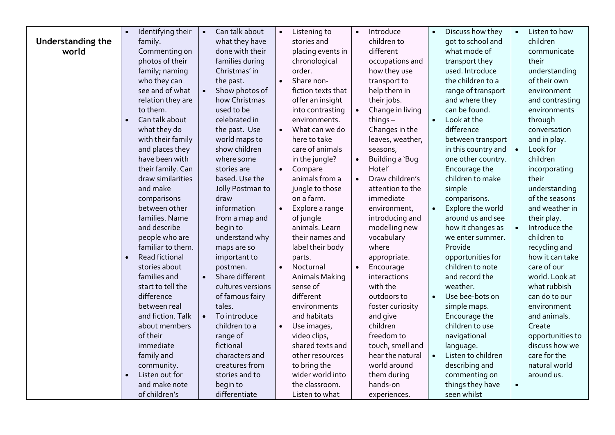|                   | $\bullet$ | Identifying their | $\bullet$ | Can talk about    | $\bullet$ | Listening to       | $\bullet$ | Introduce        | $\bullet$ | Discuss how they    | $\bullet$ | Listen to how    |
|-------------------|-----------|-------------------|-----------|-------------------|-----------|--------------------|-----------|------------------|-----------|---------------------|-----------|------------------|
| Understanding the |           | family.           |           | what they have    |           | stories and        |           | children to      |           | got to school and   |           | children         |
| world             |           | Commenting on     |           | done with their   |           | placing events in  |           | different        |           | what mode of        |           | communicate      |
|                   |           | photos of their   |           | families during   |           | chronological      |           | occupations and  |           | transport they      |           | their            |
|                   |           | family; naming    |           | Christmas' in     |           | order.             |           | how they use     |           | used. Introduce     |           | understanding    |
|                   |           | who they can      |           | the past.         | $\bullet$ | Share non-         |           | transport to     |           | the children to a   |           | of their own     |
|                   |           | see and of what   |           | Show photos of    |           | fiction texts that |           | help them in     |           | range of transport  |           | environment      |
|                   |           | relation they are |           | how Christmas     |           | offer an insight   |           | their jobs.      |           | and where they      |           | and contrasting  |
|                   |           | to them.          |           | used to be        |           | into contrasting   |           | Change in living |           | can be found.       |           | environments     |
|                   | $\bullet$ | Can talk about    |           | celebrated in     |           | environments.      |           | things $-$       |           | Look at the         |           | through          |
|                   |           | what they do      |           | the past. Use     | $\bullet$ | What can we do     |           | Changes in the   |           | difference          |           | conversation     |
|                   |           | with their family |           | world maps to     |           | here to take       |           | leaves, weather, |           | between transport   |           | and in play.     |
|                   |           | and places they   |           | show children     |           | care of animals    |           | seasons,         |           | in this country and | $\bullet$ | Look for         |
|                   |           | have been with    |           | where some        |           | in the jungle?     |           | Building a 'Bug  |           | one other country.  |           | children         |
|                   |           | their family. Can |           | stories are       | $\bullet$ | Compare            |           | Hotel'           |           | Encourage the       |           | incorporating    |
|                   |           | draw similarities |           | based. Use the    |           | animals from a     | $\bullet$ | Draw children's  |           | children to make    |           | their            |
|                   |           | and make          |           | Jolly Postman to  |           | jungle to those    |           | attention to the |           | simple              |           | understanding    |
|                   |           | comparisons       |           | draw              |           | on a farm.         |           | immediate        |           | comparisons.        |           | of the seasons   |
|                   |           | between other     |           | information       | $\bullet$ | Explore a range    |           | environment,     |           | Explore the world   |           | and weather in   |
|                   |           | families. Name    |           | from a map and    |           | of jungle          |           | introducing and  |           | around us and see   |           | their play.      |
|                   |           | and describe      |           | begin to          |           | animals. Learn     |           | modelling new    |           | how it changes as   | $\bullet$ | Introduce the    |
|                   |           | people who are    |           | understand why    |           | their names and    |           | vocabulary       |           | we enter summer.    |           | children to      |
|                   |           | familiar to them. |           | maps are so       |           | label their body   |           | where            |           | Provide             |           | recycling and    |
|                   | $\bullet$ | Read fictional    |           | important to      |           | parts.             |           | appropriate.     |           | opportunities for   |           | how it can take  |
|                   |           | stories about     |           | postmen.          | $\bullet$ | Nocturnal          |           | Encourage        |           | children to note    |           | care of our      |
|                   |           | families and      |           | Share different   |           | Animals Making     |           | interactions     |           | and record the      |           | world. Look at   |
|                   |           | start to tell the |           | cultures versions |           | sense of           |           | with the         |           | weather.            |           | what rubbish     |
|                   |           | difference        |           | of famous fairy   |           | different          |           | outdoors to      | $\bullet$ | Use bee-bots on     |           | can do to our    |
|                   |           | between real      |           | tales.            |           | environments       |           | foster curiosity |           | simple maps.        |           | environment      |
|                   |           | and fiction. Talk |           | To introduce      |           | and habitats       |           | and give         |           | Encourage the       |           | and animals.     |
|                   |           | about members     |           | children to a     | $\bullet$ | Use images,        |           | children         |           | children to use     |           | Create           |
|                   |           | of their          |           | range of          |           | video clips,       |           | freedom to       |           | navigational        |           | opportunities to |
|                   |           | immediate         |           | fictional         |           | shared texts and   |           | touch, smell and |           | language.           |           | discuss how we   |
|                   |           | family and        |           | characters and    |           | other resources    |           | hear the natural | $\bullet$ | Listen to children  |           | care for the     |
|                   |           | community.        |           | creatures from    |           | to bring the       |           | world around     |           | describing and      |           | natural world    |
|                   | $\bullet$ | Listen out for    |           | stories and to    |           | wider world into   |           | them during      |           | commenting on       |           | around us.       |
|                   |           | and make note     |           | begin to          |           | the classroom.     |           | hands-on         |           | things they have    | $\bullet$ |                  |
|                   |           | of children's     |           | differentiate     |           | Listen to what     |           | experiences.     |           | seen whilst         |           |                  |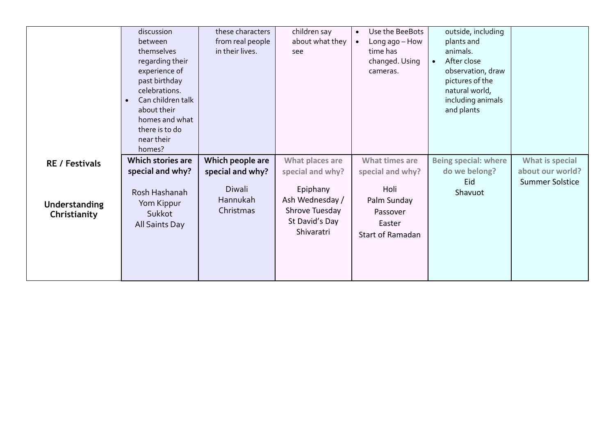|                               | discussion<br>between<br>themselves<br>regarding their<br>experience of<br>past birthday<br>celebrations.<br>Can children talk<br>about their<br>homes and what<br>there is to do<br>near their<br>homes? | these characters<br>from real people<br>in their lives. | children say<br>about what they<br>see                                        | Use the BeeBots<br>$\bullet$<br>Long $ago - How$<br>$\bullet$<br>time has<br>changed. Using<br>cameras. | outside, including<br>plants and<br>animals.<br>After close<br>$\bullet$<br>observation, draw<br>pictures of the<br>natural world,<br>including animals<br>and plants |                                     |
|-------------------------------|-----------------------------------------------------------------------------------------------------------------------------------------------------------------------------------------------------------|---------------------------------------------------------|-------------------------------------------------------------------------------|---------------------------------------------------------------------------------------------------------|-----------------------------------------------------------------------------------------------------------------------------------------------------------------------|-------------------------------------|
| <b>RE / Festivals</b>         | Which stories are<br>special and why?                                                                                                                                                                     | Which people are<br>special and why?                    | What places are<br>special and why?                                           | What times are<br>special and why?                                                                      | <b>Being special: where</b><br>do we belong?                                                                                                                          | What is special<br>about our world? |
| Understanding<br>Christianity | Rosh Hashanah<br>Yom Kippur<br>Sukkot<br>All Saints Day                                                                                                                                                   | Diwali<br>Hannukah<br>Christmas                         | Epiphany<br>Ash Wednesday /<br>Shrove Tuesday<br>St David's Day<br>Shivaratri | Holi<br>Palm Sunday<br>Passover<br>Easter<br>Start of Ramadan                                           | Eid<br>Shavuot                                                                                                                                                        | <b>Summer Solstice</b>              |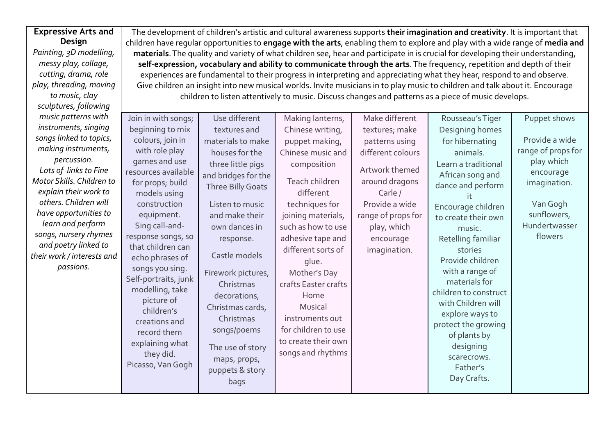| <b>Expressive Arts and</b>                     | The development of children's artistic and cultural awareness supports their imagination and creativity. It is important that   |                     |                      |                    |                       |                    |  |  |
|------------------------------------------------|---------------------------------------------------------------------------------------------------------------------------------|---------------------|----------------------|--------------------|-----------------------|--------------------|--|--|
| Design                                         | children have regular opportunities to engage with the arts, enabling them to explore and play with a wide range of media and   |                     |                      |                    |                       |                    |  |  |
| Painting, 3D modelling,                        | materials. The quality and variety of what children see, hear and participate in is crucial for developing their understanding, |                     |                      |                    |                       |                    |  |  |
| messy play, collage,                           | self-expression, vocabulary and ability to communicate through the arts. The frequency, repetition and depth of their           |                     |                      |                    |                       |                    |  |  |
| cutting, drama, role                           | experiences are fundamental to their progress in interpreting and appreciating what they hear, respond to and observe.          |                     |                      |                    |                       |                    |  |  |
| play, threading, moving                        | Give children an insight into new musical worlds. Invite musicians in to play music to children and talk about it. Encourage    |                     |                      |                    |                       |                    |  |  |
| to music, clay                                 | children to listen attentively to music. Discuss changes and patterns as a piece of music develops.                             |                     |                      |                    |                       |                    |  |  |
| sculptures, following                          |                                                                                                                                 |                     |                      |                    |                       |                    |  |  |
| music patterns with                            | Join in with songs;                                                                                                             | Use different       | Making lanterns,     | Make different     | Rousseau's Tiger      | Puppet shows       |  |  |
| instruments, singing                           | beginning to mix                                                                                                                | textures and        | Chinese writing,     | textures; make     | Designing homes       |                    |  |  |
| songs linked to topics,                        | colours, join in                                                                                                                | materials to make   | puppet making,       | patterns using     | for hibernating       | Provide a wide     |  |  |
| making instruments,                            | with role play                                                                                                                  | houses for the      | Chinese music and    | different colours  | animals.              | range of props for |  |  |
| percussion.                                    | games and use                                                                                                                   | three little pigs   | composition          |                    | Learn a traditional   | play which         |  |  |
| Lots of links to Fine                          | resources available                                                                                                             | and bridges for the |                      | Artwork themed     | African song and      | encourage          |  |  |
| Motor Skills. Children to                      | for props; build                                                                                                                | Three Billy Goats   | Teach children       | around dragons     | dance and perform     | imagination.       |  |  |
| explain their work to<br>others. Children will | models using                                                                                                                    |                     | different            | Carle /            |                       |                    |  |  |
|                                                | construction                                                                                                                    | Listen to music     | techniques for       | Provide a wide     | Encourage children    | Van Gogh           |  |  |
| have opportunities to                          | equipment.                                                                                                                      | and make their      | joining materials,   | range of props for | to create their own   | sunflowers,        |  |  |
| learn and perform                              | Sing call-and-                                                                                                                  | own dances in       | such as how to use   | play, which        | music.                | Hundertwasser      |  |  |
| songs, nursery rhymes<br>and poetry linked to  | response songs, so                                                                                                              | response.           | adhesive tape and    | encourage          | Retelling familiar    | flowers            |  |  |
| their work / interests and                     | that children can                                                                                                               | Castle models       | different sorts of   | imagination.       | stories               |                    |  |  |
| passions.                                      | echo phrases of                                                                                                                 |                     | glue.                |                    | Provide children      |                    |  |  |
|                                                | songs you sing.                                                                                                                 | Firework pictures,  | Mother's Day         |                    | with a range of       |                    |  |  |
|                                                | Self-portraits, junk                                                                                                            | Christmas           | crafts Easter crafts |                    | materials for         |                    |  |  |
|                                                | modelling, take<br>picture of                                                                                                   | decorations,        | Home                 |                    | children to construct |                    |  |  |
|                                                | children's                                                                                                                      | Christmas cards,    | Musical              |                    | with Children will    |                    |  |  |
|                                                | creations and                                                                                                                   | Christmas           | instruments out      |                    | explore ways to       |                    |  |  |
|                                                | record them                                                                                                                     | songs/poems         | for children to use  |                    | protect the growing   |                    |  |  |
|                                                | explaining what                                                                                                                 |                     | to create their own  |                    | of plants by          |                    |  |  |
|                                                | they did.                                                                                                                       | The use of story    | songs and rhythms    |                    | designing             |                    |  |  |
|                                                | Picasso, Van Gogh                                                                                                               | maps, props,        |                      |                    | scarecrows.           |                    |  |  |
|                                                |                                                                                                                                 | puppets & story     |                      |                    | Father's              |                    |  |  |
|                                                |                                                                                                                                 | bags                |                      |                    | Day Crafts.           |                    |  |  |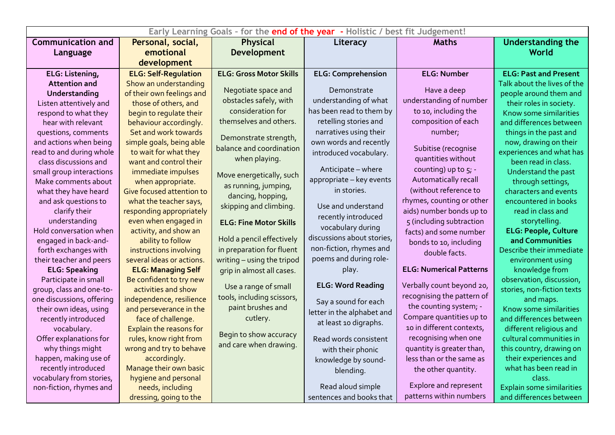| Early Learning Goals - for the end of the year - Holistic / best fit Judgement! |                                                      |                                |                            |                                |                                            |  |
|---------------------------------------------------------------------------------|------------------------------------------------------|--------------------------------|----------------------------|--------------------------------|--------------------------------------------|--|
| <b>Communication and</b>                                                        | Personal, social,                                    | <b>Physical</b>                | Literacy                   | <b>Maths</b>                   | <b>Understanding the</b>                   |  |
| Language                                                                        | emotional                                            | <b>Development</b>             |                            |                                | World                                      |  |
|                                                                                 | development                                          |                                |                            |                                |                                            |  |
| ELG: Listening,                                                                 | <b>ELG: Self-Regulation</b>                          | <b>ELG: Gross Motor Skills</b> | <b>ELG: Comprehension</b>  | <b>ELG: Number</b>             | <b>ELG: Past and Present</b>               |  |
| <b>Attention and</b>                                                            | Show an understanding                                |                                |                            |                                | Talk about the lives of the                |  |
| Understanding                                                                   | of their own feelings and                            | Negotiate space and            | Demonstrate                | Have a deep                    | people around them and                     |  |
| Listen attentively and                                                          | those of others, and                                 | obstacles safely, with         | understanding of what      | understanding of number        | their roles in society.                    |  |
| respond to what they                                                            | begin to regulate their                              | consideration for              | has been read to them by   | to 10, including the           | Know some similarities                     |  |
| hear with relevant                                                              | behaviour accordingly.                               | themselves and others.         | retelling stories and      | composition of each            | and differences between                    |  |
| questions, comments                                                             | Set and work towards                                 | Demonstrate strength,          | narratives using their     | number;                        | things in the past and                     |  |
| and actions when being                                                          | simple goals, being able                             | balance and coordination       | own words and recently     | Subitise (recognise            | now, drawing on their                      |  |
| read to and during whole                                                        | to wait for what they                                | when playing.                  | introduced vocabulary.     | quantities without             | experiences and what has                   |  |
| class discussions and                                                           | want and control their                               |                                | Anticipate - where         | counting) up to 5; -           | been read in class.                        |  |
| small group interactions                                                        | immediate impulses                                   | Move energetically, such       |                            |                                | Understand the past                        |  |
| Make comments about                                                             | when appropriate.                                    | as running, jumping,           | appropriate - key events   | Automatically recall           | through settings,                          |  |
| what they have heard                                                            | Give focused attention to                            | dancing, hopping,              | in stories.                | (without reference to          | characters and events                      |  |
| and ask questions to                                                            | what the teacher says,                               | skipping and climbing.         | Use and understand         | rhymes, counting or other      | encountered in books                       |  |
| clarify their                                                                   | responding appropriately                             |                                | recently introduced        | aids) number bonds up to       | read in class and                          |  |
| understanding                                                                   | even when engaged in                                 | <b>ELG: Fine Motor Skills</b>  | vocabulary during          | 5 (including subtraction       | storytelling.                              |  |
| Hold conversation when                                                          | activity, and show an                                | Hold a pencil effectively      | discussions about stories, | facts) and some number         | <b>ELG: People, Culture</b>                |  |
| engaged in back-and-                                                            | ability to follow                                    | in preparation for fluent      | non-fiction, rhymes and    | bonds to 10, including         | and Communities                            |  |
| forth exchanges with                                                            | instructions involving                               |                                | poems and during role-     | double facts.                  | Describe their immediate                   |  |
| their teacher and peers                                                         | several ideas or actions.                            | writing - using the tripod     | play.                      | <b>ELG: Numerical Patterns</b> | environment using                          |  |
| <b>ELG: Speaking</b><br>Participate in small                                    | <b>ELG: Managing Self</b><br>Be confident to try new | grip in almost all cases.      |                            |                                | knowledge from<br>observation, discussion, |  |
| group, class and one-to-                                                        | activities and show                                  | Use a range of small           | <b>ELG: Word Reading</b>   | Verbally count beyond 20,      | stories, non-fiction texts                 |  |
| one discussions, offering                                                       | independence, resilience                             | tools, including scissors,     |                            | recognising the pattern of     | and maps.                                  |  |
| their own ideas, using                                                          | and perseverance in the                              | paint brushes and              | Say a sound for each       | the counting system; -         | Know some similarities                     |  |
| recently introduced                                                             | face of challenge.                                   | cutlery.                       | letter in the alphabet and | Compare quantities up to       | and differences between                    |  |
| vocabulary.                                                                     | Explain the reasons for                              |                                | at least 10 digraphs.      | 10 in different contexts,      | different religious and                    |  |
| Offer explanations for                                                          | rules, know right from                               | Begin to show accuracy         | Read words consistent      | recognising when one           | cultural communities in                    |  |
| why things might                                                                | wrong and try to behave                              | and care when drawing.         | with their phonic          | quantity is greater than,      | this country, drawing on                   |  |
| happen, making use of                                                           | accordingly.                                         |                                | knowledge by sound-        | less than or the same as       | their experiences and                      |  |
| recently introduced                                                             | Manage their own basic                               |                                |                            | the other quantity.            | what has been read in                      |  |
| vocabulary from stories,                                                        | hygiene and personal                                 |                                | blending.                  |                                | class.                                     |  |
| non-fiction, rhymes and                                                         | needs, including                                     |                                | Read aloud simple          | <b>Explore and represent</b>   | Explain some similarities                  |  |
|                                                                                 | dressing, going to the                               |                                | sentences and books that   | patterns within numbers        | and differences between                    |  |
|                                                                                 |                                                      |                                |                            |                                |                                            |  |